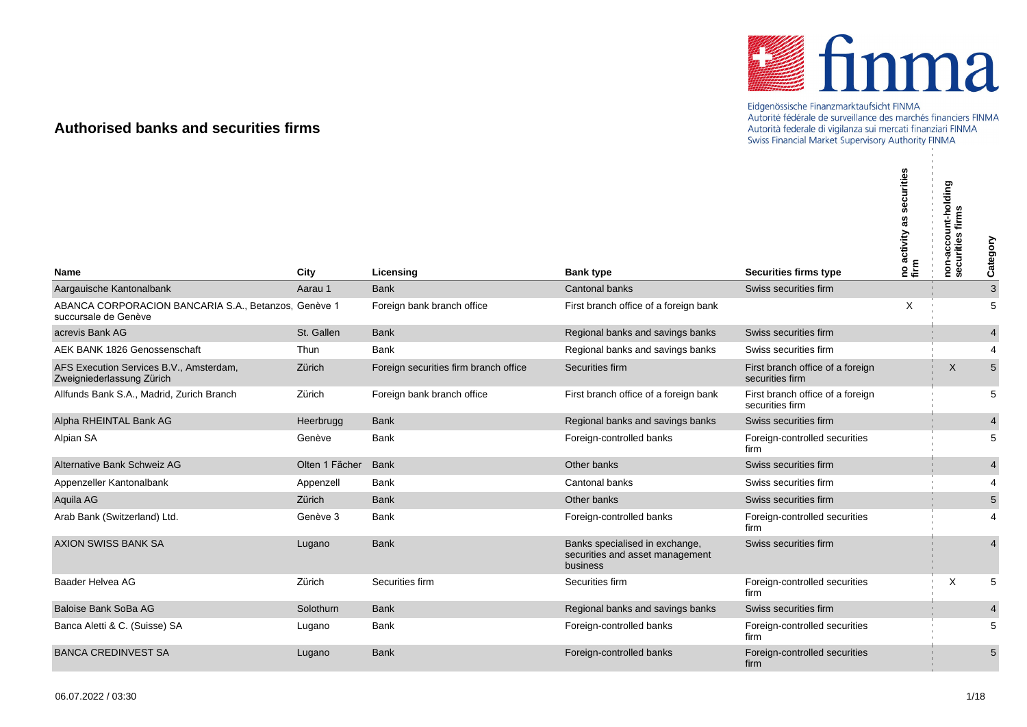

## Eidgenössische Finanzmarktaufsicht FINMA<br>Autorité fédérale de surveillance des marchés financiers FINMA Autorità federale di vigilanza sui mercati finanziari FINMA Swiss Financial Market Supervisory Authority FINMA

## **Authorised banks and securities firms**

|                                                                              |                |                                       |                                                                               |                                                       | urities<br>no activity<br>firm | non-account-holding<br>securities firms | Category       |
|------------------------------------------------------------------------------|----------------|---------------------------------------|-------------------------------------------------------------------------------|-------------------------------------------------------|--------------------------------|-----------------------------------------|----------------|
| Name                                                                         | City           | Licensing                             | <b>Bank type</b>                                                              | <b>Securities firms type</b><br>Swiss securities firm |                                |                                         |                |
| Aargauische Kantonalbank                                                     | Aarau 1        | <b>Bank</b>                           | <b>Cantonal banks</b>                                                         |                                                       |                                |                                         | $\mathbf{3}$   |
| ABANCA CORPORACION BANCARIA S.A., Betanzos, Genève 1<br>succursale de Genève |                | Foreign bank branch office            | First branch office of a foreign bank                                         |                                                       | X                              |                                         | 5              |
| acrevis Bank AG                                                              | St. Gallen     | <b>Bank</b>                           | Regional banks and savings banks                                              | Swiss securities firm                                 |                                |                                         | $\overline{4}$ |
| AEK BANK 1826 Genossenschaft                                                 | Thun           | <b>Bank</b>                           | Regional banks and savings banks                                              | Swiss securities firm                                 |                                |                                         | 4              |
| AFS Execution Services B.V., Amsterdam,<br>Zweigniederlassung Zürich         | Zürich         | Foreign securities firm branch office | Securities firm                                                               | First branch office of a foreign<br>securities firm   |                                | X                                       | $5\phantom{1}$ |
| Allfunds Bank S.A., Madrid, Zurich Branch                                    | Zürich         | Foreign bank branch office            | First branch office of a foreign bank                                         | First branch office of a foreign<br>securities firm   |                                |                                         | 5              |
| Alpha RHEINTAL Bank AG                                                       | Heerbrugg      | <b>Bank</b>                           | Regional banks and savings banks                                              | Swiss securities firm                                 |                                |                                         | $\overline{4}$ |
| Alpian SA                                                                    | Genève         | Bank                                  | Foreign-controlled banks                                                      | Foreign-controlled securities<br>firm                 |                                |                                         | 5              |
| Alternative Bank Schweiz AG                                                  | Olten 1 Fächer | <b>Bank</b>                           | Other banks                                                                   | Swiss securities firm                                 |                                |                                         | $\overline{4}$ |
| Appenzeller Kantonalbank                                                     | Appenzell      | Bank                                  | Cantonal banks                                                                | Swiss securities firm                                 |                                |                                         | $\overline{4}$ |
| Aquila AG                                                                    | Zürich         | <b>Bank</b>                           | Other banks                                                                   | Swiss securities firm                                 |                                |                                         | $5\phantom{1}$ |
| Arab Bank (Switzerland) Ltd.                                                 | Genève 3       | Bank                                  | Foreign-controlled banks                                                      | Foreign-controlled securities<br>firm                 |                                |                                         | 4              |
| <b>AXION SWISS BANK SA</b>                                                   | Lugano         | <b>Bank</b>                           | Banks specialised in exchange,<br>securities and asset management<br>business | Swiss securities firm                                 |                                |                                         | $\overline{4}$ |
| Baader Helvea AG                                                             | Zürich         | Securities firm                       | Securities firm                                                               | Foreign-controlled securities<br>firm                 |                                | X                                       | 5              |
| Baloise Bank SoBa AG                                                         | Solothurn      | <b>Bank</b>                           | Regional banks and savings banks                                              | Swiss securities firm                                 |                                |                                         | $\overline{4}$ |
| Banca Aletti & C. (Suisse) SA                                                | Lugano         | Bank                                  | Foreign-controlled banks                                                      | Foreign-controlled securities<br>firm                 |                                |                                         | 5              |
| <b>BANCA CREDINVEST SA</b>                                                   | Lugano         | <b>Bank</b>                           | Foreign-controlled banks                                                      | Foreign-controlled securities<br>firm                 |                                |                                         | 5              |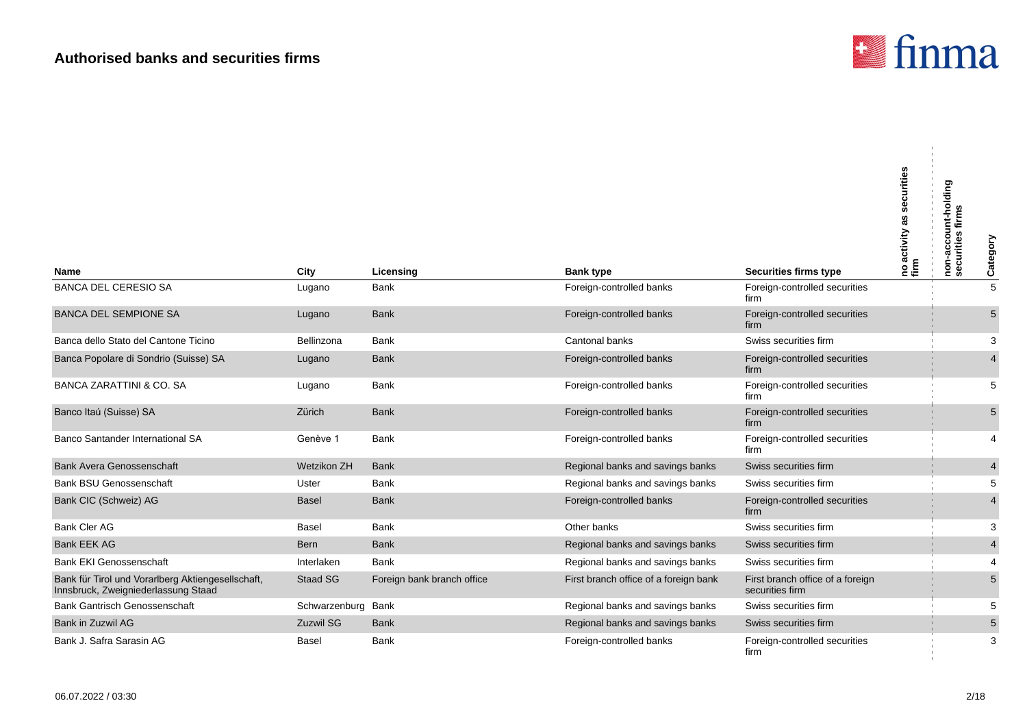

J.

| <b>Name</b>                                                                              | City               | Licensing                  | <b>Bank type</b>                      | <b>Securities firms type</b>                        | securities<br>as<br> no activity a<br> firm | non-account-holding<br>firms<br>securities | Category                |
|------------------------------------------------------------------------------------------|--------------------|----------------------------|---------------------------------------|-----------------------------------------------------|---------------------------------------------|--------------------------------------------|-------------------------|
| <b>BANCA DEL CERESIO SA</b>                                                              | Lugano             | Bank                       | Foreign-controlled banks              | Foreign-controlled securities<br>firm               |                                             |                                            | $\overline{5}$          |
| <b>BANCA DEL SEMPIONE SA</b>                                                             | Lugano             | <b>Bank</b>                | Foreign-controlled banks              | Foreign-controlled securities<br>firm               |                                             |                                            | 5                       |
| Banca dello Stato del Cantone Ticino                                                     | Bellinzona         | Bank                       | Cantonal banks                        | Swiss securities firm                               |                                             |                                            | 3                       |
| Banca Popolare di Sondrio (Suisse) SA                                                    | Lugano             | <b>Bank</b>                | Foreign-controlled banks              | Foreign-controlled securities<br>firm               |                                             |                                            | $\overline{4}$          |
| <b>BANCA ZARATTINI &amp; CO. SA</b>                                                      | Lugano             | <b>Bank</b>                | Foreign-controlled banks              | Foreign-controlled securities<br>firm               |                                             |                                            | 5                       |
| Banco Itaú (Suisse) SA                                                                   | Zürich             | <b>Bank</b>                | Foreign-controlled banks              | Foreign-controlled securities<br>firm               |                                             |                                            | $5\,$                   |
| Banco Santander International SA                                                         | Genève 1           | Bank                       | Foreign-controlled banks              | Foreign-controlled securities<br>firm               |                                             |                                            | 4                       |
| <b>Bank Avera Genossenschaft</b>                                                         | Wetzikon ZH        | <b>Bank</b>                | Regional banks and savings banks      | Swiss securities firm                               |                                             |                                            | $\overline{\mathbf{4}}$ |
| <b>Bank BSU Genossenschaft</b>                                                           | Uster              | Bank                       | Regional banks and savings banks      | Swiss securities firm                               |                                             |                                            | 5                       |
| Bank CIC (Schweiz) AG                                                                    | <b>Basel</b>       | <b>Bank</b>                | Foreign-controlled banks              | Foreign-controlled securities<br>firm               |                                             |                                            | $\overline{4}$          |
| <b>Bank Cler AG</b>                                                                      | Basel              | <b>Bank</b>                | Other banks                           | Swiss securities firm                               |                                             |                                            | 3                       |
| <b>Bank EEK AG</b>                                                                       | Bern               | <b>Bank</b>                | Regional banks and savings banks      | Swiss securities firm                               |                                             |                                            | $\overline{4}$          |
| <b>Bank EKI Genossenschaft</b>                                                           | Interlaken         | Bank                       | Regional banks and savings banks      | Swiss securities firm                               |                                             |                                            | 4                       |
| Bank für Tirol und Vorarlberg Aktiengesellschaft,<br>Innsbruck, Zweigniederlassung Staad | <b>Staad SG</b>    | Foreign bank branch office | First branch office of a foreign bank | First branch office of a foreign<br>securities firm |                                             |                                            | 5                       |
| <b>Bank Gantrisch Genossenschaft</b>                                                     | Schwarzenburg Bank |                            | Regional banks and savings banks      | Swiss securities firm                               |                                             |                                            | 5                       |
| Bank in Zuzwil AG                                                                        | <b>Zuzwil SG</b>   | <b>Bank</b>                | Regional banks and savings banks      | Swiss securities firm                               |                                             |                                            | $\sqrt{5}$              |
| Bank J. Safra Sarasin AG                                                                 | Basel              | Bank                       | Foreign-controlled banks              | Foreign-controlled securities<br>firm               |                                             |                                            | 3                       |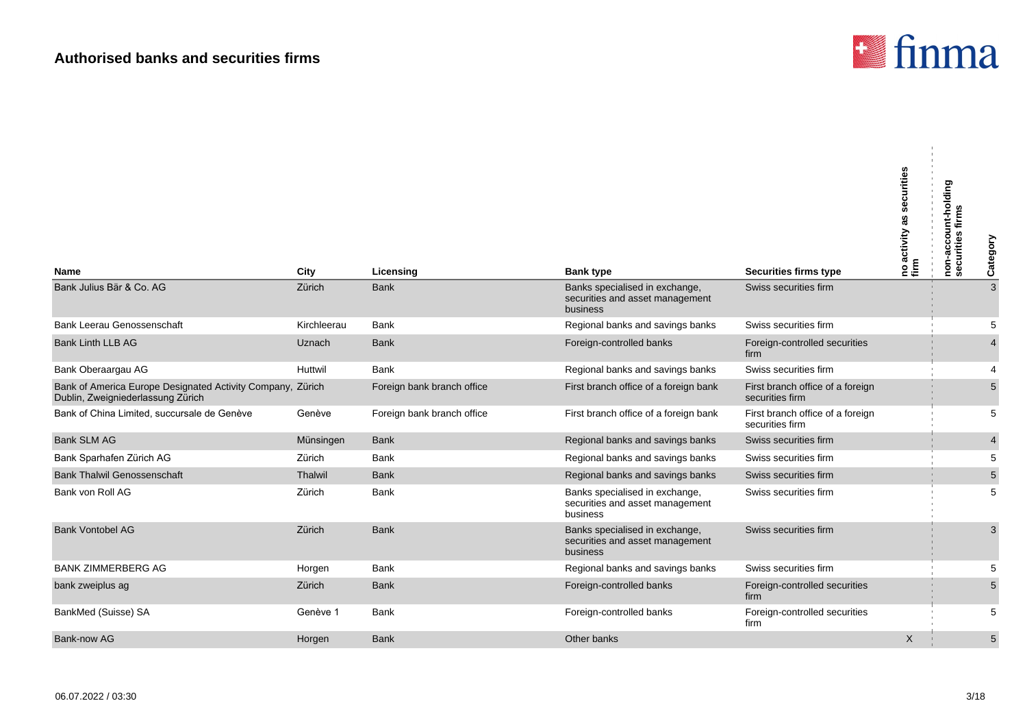

| <b>Name</b>                                                                                     | City        | Licensing                  | <b>Bank type</b>                                                              | <b>Securities firms type</b>                        | securities<br> no activity as s<br> firm | non-account-holding<br>securities firms<br>Category |
|-------------------------------------------------------------------------------------------------|-------------|----------------------------|-------------------------------------------------------------------------------|-----------------------------------------------------|------------------------------------------|-----------------------------------------------------|
| Bank Julius Bär & Co. AG                                                                        | Zürich      | <b>Bank</b>                | Banks specialised in exchange,<br>securities and asset management<br>business | Swiss securities firm                               |                                          | 3                                                   |
| <b>Bank Leerau Genossenschaft</b>                                                               | Kirchleerau | <b>Bank</b>                | Regional banks and savings banks                                              | Swiss securities firm                               |                                          | 5                                                   |
| <b>Bank Linth LLB AG</b>                                                                        | Uznach      | <b>Bank</b>                | Foreign-controlled banks                                                      | Foreign-controlled securities<br>firm               |                                          | $\overline{4}$                                      |
| Bank Oberaargau AG                                                                              | Huttwil     | <b>Bank</b>                | Regional banks and savings banks                                              | Swiss securities firm                               |                                          | 4                                                   |
| Bank of America Europe Designated Activity Company, Zürich<br>Dublin, Zweigniederlassung Zürich |             | Foreign bank branch office | First branch office of a foreign bank                                         | First branch office of a foreign<br>securities firm |                                          | 5                                                   |
| Bank of China Limited, succursale de Genève                                                     | Genève      | Foreign bank branch office | First branch office of a foreign bank                                         | First branch office of a foreign<br>securities firm |                                          | 5                                                   |
| <b>Bank SLM AG</b>                                                                              | Münsingen   | <b>Bank</b>                | Regional banks and savings banks                                              | Swiss securities firm                               |                                          | $\overline{4}$                                      |
| Bank Sparhafen Zürich AG                                                                        | Zürich      | <b>Bank</b>                | Regional banks and savings banks                                              | Swiss securities firm                               |                                          | 5                                                   |
| <b>Bank Thalwil Genossenschaft</b>                                                              | Thalwil     | <b>Bank</b>                | Regional banks and savings banks                                              | Swiss securities firm                               |                                          | $\sqrt{5}$                                          |
| Bank von Roll AG                                                                                | Zürich      | <b>Bank</b>                | Banks specialised in exchange,<br>securities and asset management<br>business | Swiss securities firm                               |                                          | 5                                                   |
| <b>Bank Vontobel AG</b>                                                                         | Zürich      | <b>Bank</b>                | Banks specialised in exchange,<br>securities and asset management<br>business | Swiss securities firm                               |                                          | 3                                                   |
| <b>BANK ZIMMERBERG AG</b>                                                                       | Horgen      | <b>Bank</b>                | Regional banks and savings banks                                              | Swiss securities firm                               |                                          | 5                                                   |
| bank zweiplus ag                                                                                | Zürich      | <b>Bank</b>                | Foreign-controlled banks                                                      | Foreign-controlled securities<br>firm               |                                          | 5                                                   |
| BankMed (Suisse) SA                                                                             | Genève 1    | Bank                       | Foreign-controlled banks                                                      | Foreign-controlled securities<br>firm               |                                          | 5                                                   |
| Bank-now AG                                                                                     | Horgen      | <b>Bank</b>                | Other banks                                                                   |                                                     | X                                        | 5                                                   |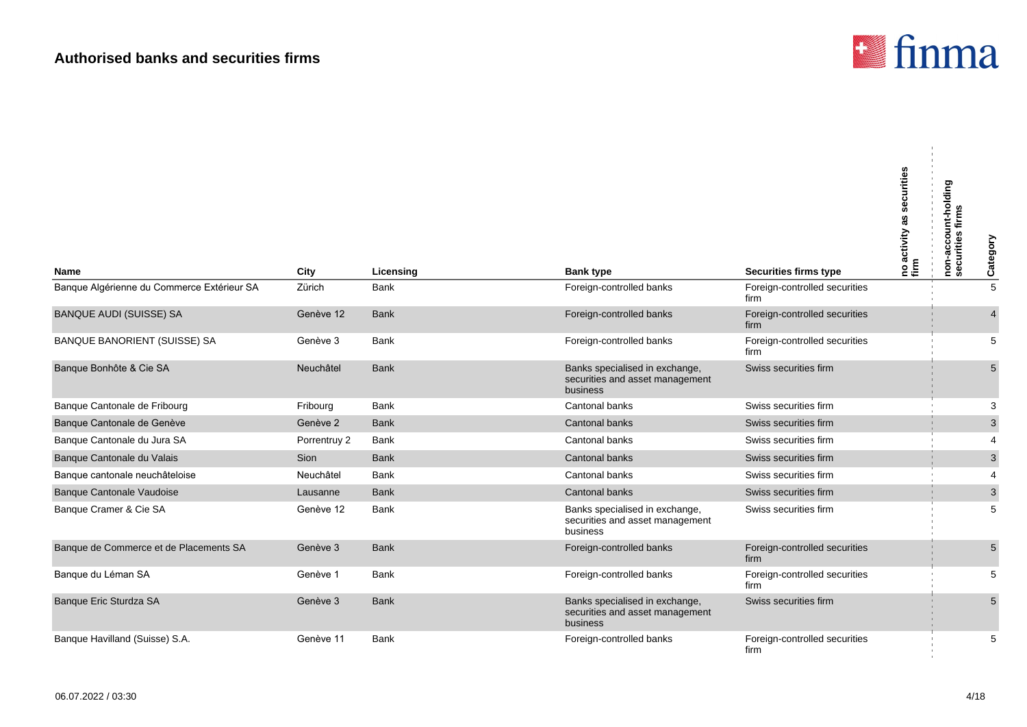

| <b>Name</b>                                | City         | Licensing   | <b>Bank type</b>                                                              | <b>Securities firms type</b>          | securities<br>as<br> no activity a<br> firm | non-account-holding<br>securities firms<br>firms | Category        |
|--------------------------------------------|--------------|-------------|-------------------------------------------------------------------------------|---------------------------------------|---------------------------------------------|--------------------------------------------------|-----------------|
| Banque Algérienne du Commerce Extérieur SA | Zürich       | <b>Bank</b> | Foreign-controlled banks                                                      | Foreign-controlled securities         |                                             |                                                  | $\overline{5}$  |
|                                            |              |             |                                                                               | firm                                  |                                             |                                                  |                 |
| <b>BANQUE AUDI (SUISSE) SA</b>             | Genève 12    | <b>Bank</b> | Foreign-controlled banks                                                      | Foreign-controlled securities<br>firm |                                             |                                                  | $\overline{4}$  |
| BANQUE BANORIENT (SUISSE) SA               | Genève 3     | <b>Bank</b> | Foreign-controlled banks                                                      | Foreign-controlled securities<br>firm |                                             |                                                  | 5               |
| Banque Bonhôte & Cie SA                    | Neuchâtel    | <b>Bank</b> | Banks specialised in exchange,<br>securities and asset management<br>business | Swiss securities firm                 |                                             |                                                  | 5               |
| Banque Cantonale de Fribourg               | Fribourg     | <b>Bank</b> | Cantonal banks                                                                | Swiss securities firm                 |                                             |                                                  | 3               |
| Banque Cantonale de Genève                 | Genève 2     | <b>Bank</b> | Cantonal banks                                                                | Swiss securities firm                 |                                             |                                                  | $\mathbf{3}$    |
| Banque Cantonale du Jura SA                | Porrentruy 2 | <b>Bank</b> | Cantonal banks                                                                | Swiss securities firm                 |                                             |                                                  | $\overline{4}$  |
| Banque Cantonale du Valais                 | Sion         | <b>Bank</b> | Cantonal banks                                                                | Swiss securities firm                 |                                             |                                                  | $\mathbf{3}$    |
| Banque cantonale neuchâteloise             | Neuchâtel    | <b>Bank</b> | Cantonal banks                                                                | Swiss securities firm                 |                                             |                                                  | 4               |
| Banque Cantonale Vaudoise                  | Lausanne     | <b>Bank</b> | Cantonal banks                                                                | Swiss securities firm                 |                                             |                                                  | $\mathbf{3}$    |
| Banque Cramer & Cie SA                     | Genève 12    | <b>Bank</b> | Banks specialised in exchange,<br>securities and asset management<br>business | Swiss securities firm                 |                                             |                                                  | 5               |
| Banque de Commerce et de Placements SA     | Genève 3     | <b>Bank</b> | Foreign-controlled banks                                                      | Foreign-controlled securities<br>firm |                                             |                                                  | 5               |
| Banque du Léman SA                         | Genève 1     | <b>Bank</b> | Foreign-controlled banks                                                      | Foreign-controlled securities<br>firm |                                             |                                                  | 5               |
| Banque Eric Sturdza SA                     | Genève 3     | <b>Bank</b> | Banks specialised in exchange,<br>securities and asset management<br>business | Swiss securities firm                 |                                             |                                                  | $5\phantom{.0}$ |
| Banque Havilland (Suisse) S.A.             | Genève 11    | Bank        | Foreign-controlled banks                                                      | Foreign-controlled securities<br>firm |                                             |                                                  | 5               |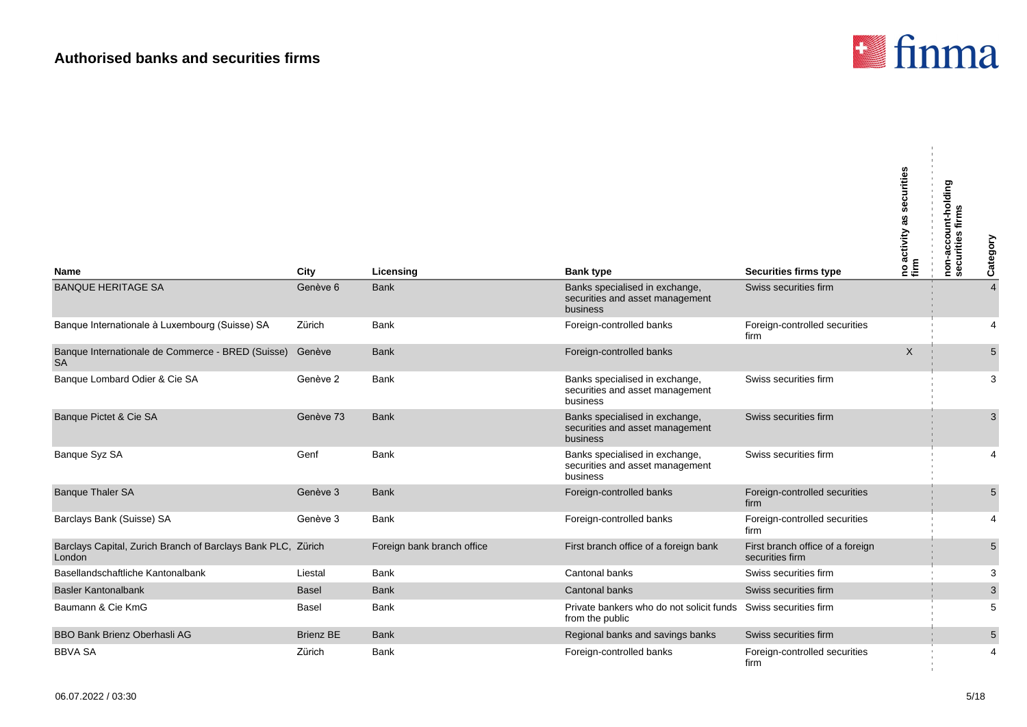

 $\mathbf{r}$ 

| <b>Name</b>                                                            | City             | Licensing                  | <b>Bank type</b>                                                                  | <b>Securities firms type</b>                        | securities<br> no activity as s<br> firm | non-account-holding<br>securities firms<br>Category |
|------------------------------------------------------------------------|------------------|----------------------------|-----------------------------------------------------------------------------------|-----------------------------------------------------|------------------------------------------|-----------------------------------------------------|
| <b>BANQUE HERITAGE SA</b>                                              | Genève 6         | <b>Bank</b>                | Banks specialised in exchange,                                                    | Swiss securities firm                               |                                          | $\overline{4}$                                      |
|                                                                        |                  |                            | securities and asset management<br>business                                       |                                                     |                                          |                                                     |
| Banque Internationale à Luxembourg (Suisse) SA                         | Zürich           | <b>Bank</b>                | Foreign-controlled banks                                                          | Foreign-controlled securities<br>firm               |                                          | 4                                                   |
| Banque Internationale de Commerce - BRED (Suisse)<br><b>SA</b>         | Genève           | <b>Bank</b>                | Foreign-controlled banks                                                          |                                                     | $\mathsf{X}$                             | $5\,$                                               |
| Banque Lombard Odier & Cie SA                                          | Genève 2         | <b>Bank</b>                | Banks specialised in exchange,<br>securities and asset management<br>business     | Swiss securities firm                               |                                          | 3                                                   |
| Banque Pictet & Cie SA                                                 | Genève 73        | <b>Bank</b>                | Banks specialised in exchange,<br>securities and asset management<br>business     | Swiss securities firm                               |                                          | 3                                                   |
| Banque Syz SA                                                          | Genf             | <b>Bank</b>                | Banks specialised in exchange,<br>securities and asset management<br>business     | Swiss securities firm                               |                                          | 4                                                   |
| <b>Banque Thaler SA</b>                                                | Genève 3         | <b>Bank</b>                | Foreign-controlled banks                                                          | Foreign-controlled securities<br>firm               |                                          | 5                                                   |
| Barclays Bank (Suisse) SA                                              | Genève 3         | <b>Bank</b>                | Foreign-controlled banks                                                          | Foreign-controlled securities<br>firm               |                                          | 4                                                   |
| Barclays Capital, Zurich Branch of Barclays Bank PLC, Zürich<br>London |                  | Foreign bank branch office | First branch office of a foreign bank                                             | First branch office of a foreign<br>securities firm |                                          | 5                                                   |
| Basellandschaftliche Kantonalbank                                      | Liestal          | <b>Bank</b>                | Cantonal banks                                                                    | Swiss securities firm                               |                                          | 3                                                   |
| <b>Basler Kantonalbank</b>                                             | <b>Basel</b>     | <b>Bank</b>                | Cantonal banks                                                                    | Swiss securities firm                               |                                          | $\ensuremath{\mathsf{3}}$                           |
| Baumann & Cie KmG                                                      | Basel            | <b>Bank</b>                | Private bankers who do not solicit funds Swiss securities firm<br>from the public |                                                     |                                          | 5                                                   |
| <b>BBO Bank Brienz Oberhasli AG</b>                                    | <b>Brienz BE</b> | <b>Bank</b>                | Regional banks and savings banks                                                  | Swiss securities firm                               |                                          | 5                                                   |
| <b>BBVA SA</b>                                                         | Zürich           | <b>Bank</b>                | Foreign-controlled banks                                                          | Foreign-controlled securities<br>firm               |                                          | 4                                                   |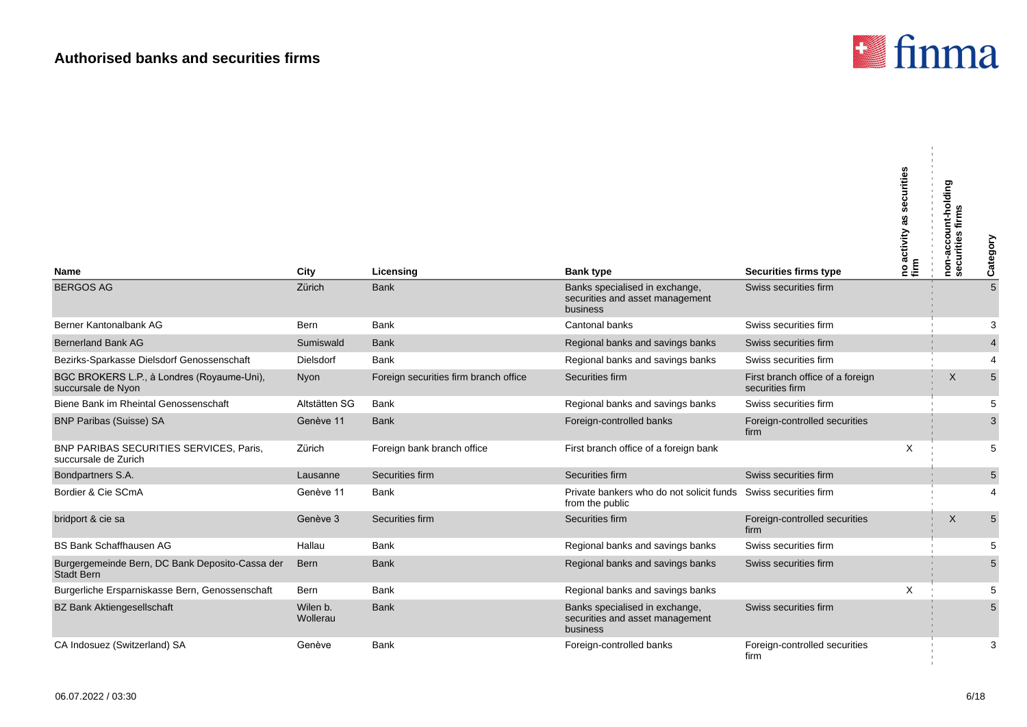

 $\mathbf{u}$ 

| <b>Name</b>                                                          | City                 | Licensing                             | <b>Bank type</b>                                                                  | <b>Securities firms type</b>                        | securities<br>as<br> no activity :<br> firm | non-account-holding<br>securities firms | Category       |
|----------------------------------------------------------------------|----------------------|---------------------------------------|-----------------------------------------------------------------------------------|-----------------------------------------------------|---------------------------------------------|-----------------------------------------|----------------|
| <b>BERGOS AG</b>                                                     | Zürich               | <b>Bank</b>                           | Banks specialised in exchange,<br>securities and asset management<br>business     | Swiss securities firm                               |                                             |                                         | 5              |
| Berner Kantonalbank AG                                               | Bern                 | <b>Bank</b>                           | Cantonal banks                                                                    | Swiss securities firm                               |                                             |                                         | 3              |
| <b>Bernerland Bank AG</b>                                            | Sumiswald            | <b>Bank</b>                           | Regional banks and savings banks                                                  | Swiss securities firm                               |                                             |                                         | $\overline{4}$ |
| Bezirks-Sparkasse Dielsdorf Genossenschaft                           | <b>Dielsdorf</b>     | <b>Bank</b>                           | Regional banks and savings banks                                                  | Swiss securities firm                               |                                             |                                         | 4              |
| BGC BROKERS L.P., à Londres (Royaume-Uni),<br>succursale de Nyon     | Nyon                 | Foreign securities firm branch office | Securities firm                                                                   | First branch office of a foreign<br>securities firm |                                             | $\times$                                | 5              |
| Biene Bank im Rheintal Genossenschaft                                | Altstätten SG        | <b>Bank</b>                           | Regional banks and savings banks                                                  | Swiss securities firm                               |                                             |                                         | 5              |
| <b>BNP Paribas (Suisse) SA</b>                                       | Genève 11            | <b>Bank</b>                           | Foreign-controlled banks                                                          | Foreign-controlled securities<br>firm               |                                             |                                         | 3              |
| BNP PARIBAS SECURITIES SERVICES, Paris,<br>succursale de Zurich      | Zürich               | Foreign bank branch office            | First branch office of a foreign bank                                             |                                                     | Χ                                           |                                         | 5              |
| Bondpartners S.A.                                                    | Lausanne             | Securities firm                       | Securities firm                                                                   | Swiss securities firm                               |                                             |                                         | 5              |
| Bordier & Cie SCmA                                                   | Genève 11            | <b>Bank</b>                           | Private bankers who do not solicit funds Swiss securities firm<br>from the public |                                                     |                                             |                                         | 4              |
| bridport & cie sa                                                    | Genève 3             | Securities firm                       | Securities firm                                                                   | Foreign-controlled securities<br>firm               |                                             | X                                       | 5              |
| <b>BS Bank Schaffhausen AG</b>                                       | Hallau               | <b>Bank</b>                           | Regional banks and savings banks                                                  | Swiss securities firm                               |                                             |                                         | 5              |
| Burgergemeinde Bern, DC Bank Deposito-Cassa der<br><b>Stadt Bern</b> | <b>Bern</b>          | <b>Bank</b>                           | Regional banks and savings banks                                                  | Swiss securities firm                               |                                             |                                         | 5              |
| Burgerliche Ersparniskasse Bern, Genossenschaft                      | Bern                 | Bank                                  | Regional banks and savings banks                                                  |                                                     | X                                           |                                         | 5              |
| <b>BZ Bank Aktiengesellschaft</b>                                    | Wilen b.<br>Wollerau | <b>Bank</b>                           | Banks specialised in exchange,<br>securities and asset management<br>business     | Swiss securities firm                               |                                             |                                         | 5              |
| CA Indosuez (Switzerland) SA                                         | Genève               | <b>Bank</b>                           | Foreign-controlled banks                                                          | Foreign-controlled securities<br>firm               |                                             |                                         | 3              |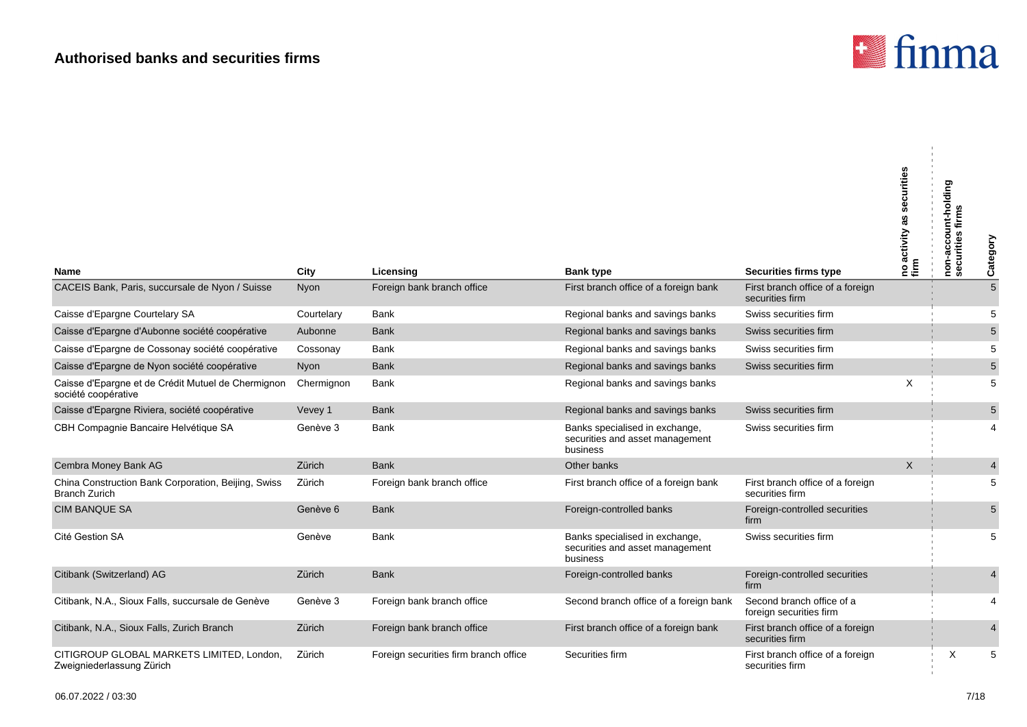

| Name                                                                        | City       | Licensing                             | <b>Bank type</b>                                                              | <b>Securities firms type</b>                         | securities<br> no activity as s<br>  firm | non-account-holding<br>securities firms | Category                |
|-----------------------------------------------------------------------------|------------|---------------------------------------|-------------------------------------------------------------------------------|------------------------------------------------------|-------------------------------------------|-----------------------------------------|-------------------------|
| CACEIS Bank, Paris, succursale de Nyon / Suisse                             | Nyon       | Foreign bank branch office            | First branch office of a foreign bank                                         | First branch office of a foreign                     |                                           |                                         | $\overline{5}$          |
|                                                                             |            |                                       |                                                                               | securities firm                                      |                                           |                                         |                         |
| Caisse d'Epargne Courtelary SA                                              | Courtelary | Bank                                  | Regional banks and savings banks                                              | Swiss securities firm                                |                                           |                                         | 5                       |
| Caisse d'Epargne d'Aubonne société coopérative                              | Aubonne    | <b>Bank</b>                           | Regional banks and savings banks                                              | Swiss securities firm                                |                                           |                                         | 5                       |
| Caisse d'Epargne de Cossonay société coopérative                            | Cossonay   | Bank                                  | Regional banks and savings banks                                              | Swiss securities firm                                |                                           |                                         | 5                       |
| Caisse d'Epargne de Nyon société coopérative                                | Nyon       | <b>Bank</b>                           | Regional banks and savings banks                                              | Swiss securities firm                                |                                           |                                         | 5                       |
| Caisse d'Epargne et de Crédit Mutuel de Chermignon<br>société coopérative   | Chermignon | Bank                                  | Regional banks and savings banks                                              |                                                      | X                                         |                                         | 5                       |
| Caisse d'Epargne Riviera, société coopérative                               | Vevey 1    | <b>Bank</b>                           | Regional banks and savings banks                                              | Swiss securities firm                                |                                           |                                         | 5                       |
| CBH Compagnie Bancaire Helvétique SA                                        | Genève 3   | Bank                                  | Banks specialised in exchange,<br>securities and asset management<br>business | Swiss securities firm                                |                                           |                                         | 4                       |
| Cembra Money Bank AG                                                        | Zürich     | <b>Bank</b>                           | Other banks                                                                   |                                                      | $\mathsf X$                               |                                         | $\overline{\mathbf{4}}$ |
| China Construction Bank Corporation, Beijing, Swiss<br><b>Branch Zurich</b> | Zürich     | Foreign bank branch office            | First branch office of a foreign bank                                         | First branch office of a foreign<br>securities firm  |                                           |                                         | 5                       |
| <b>CIM BANQUE SA</b>                                                        | Genève 6   | <b>Bank</b>                           | Foreign-controlled banks                                                      | Foreign-controlled securities<br>firm                |                                           |                                         | 5                       |
| Cité Gestion SA                                                             | Genève     | <b>Bank</b>                           | Banks specialised in exchange,<br>securities and asset management<br>business | Swiss securities firm                                |                                           |                                         | 5                       |
| Citibank (Switzerland) AG                                                   | Zürich     | <b>Bank</b>                           | Foreign-controlled banks                                                      | Foreign-controlled securities<br>firm                |                                           |                                         | 4                       |
| Citibank, N.A., Sioux Falls, succursale de Genève                           | Genève 3   | Foreign bank branch office            | Second branch office of a foreign bank                                        | Second branch office of a<br>foreign securities firm |                                           |                                         | 4                       |
| Citibank, N.A., Sioux Falls, Zurich Branch                                  | Zürich     | Foreign bank branch office            | First branch office of a foreign bank                                         | First branch office of a foreign<br>securities firm  |                                           |                                         | 4                       |
| CITIGROUP GLOBAL MARKETS LIMITED, London,<br>Zweigniederlassung Zürich      | Zürich     | Foreign securities firm branch office | Securities firm                                                               | First branch office of a foreign<br>securities firm  |                                           | X                                       | 5                       |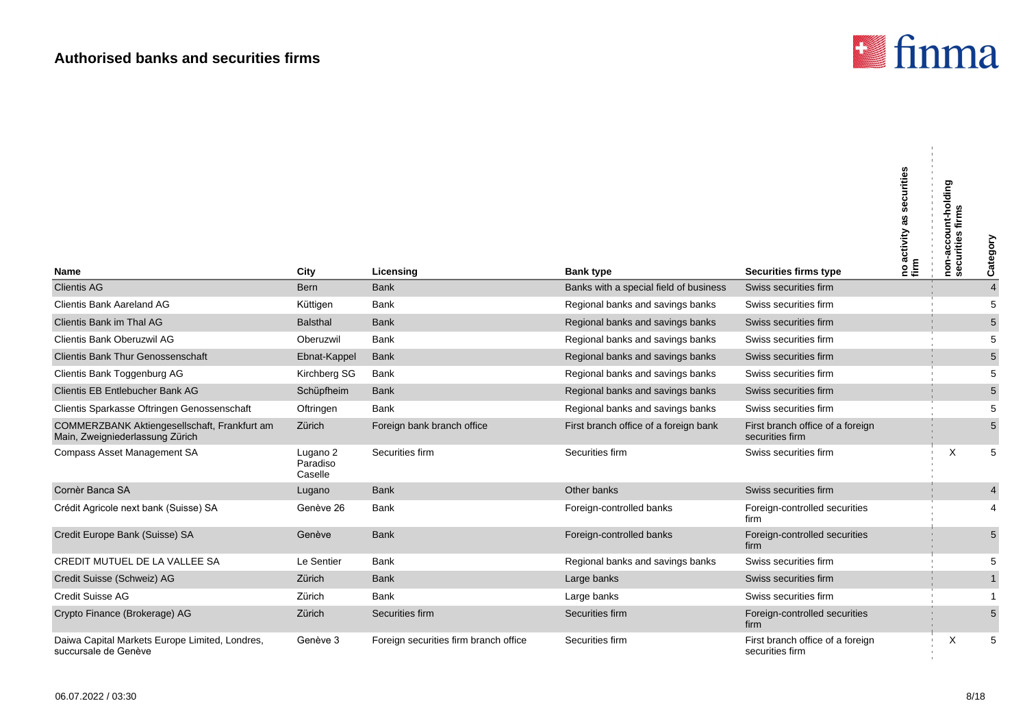

 $\mathbf{u}$ 

|                                                                                 |                                 |                                       |                                        |                                                     | securities<br>as<br>Ino activity<br>firm | nt-holding<br>non-accour<br>securities fi | Category       |
|---------------------------------------------------------------------------------|---------------------------------|---------------------------------------|----------------------------------------|-----------------------------------------------------|------------------------------------------|-------------------------------------------|----------------|
| <b>Name</b>                                                                     | City                            | Licensing                             | <b>Bank type</b>                       | Securities firms type                               |                                          |                                           |                |
| <b>Clientis AG</b>                                                              | <b>Bern</b>                     | <b>Bank</b>                           | Banks with a special field of business | Swiss securities firm                               |                                          |                                           | $\overline{4}$ |
| Clientis Bank Aareland AG                                                       | Küttigen                        | Bank                                  | Regional banks and savings banks       | Swiss securities firm                               |                                          |                                           | 5              |
| Clientis Bank im Thal AG                                                        | Balsthal                        | <b>Bank</b>                           | Regional banks and savings banks       | Swiss securities firm                               |                                          |                                           | 5              |
| <b>Clientis Bank Oberuzwil AG</b>                                               | Oberuzwil                       | <b>Bank</b>                           | Regional banks and savings banks       | Swiss securities firm                               |                                          |                                           | 5              |
| <b>Clientis Bank Thur Genossenschaft</b>                                        | Ebnat-Kappel                    | <b>Bank</b>                           | Regional banks and savings banks       | Swiss securities firm                               |                                          |                                           | 5              |
| Clientis Bank Toggenburg AG                                                     | Kirchberg SG                    | Bank                                  | Regional banks and savings banks       | Swiss securities firm                               |                                          |                                           | 5              |
| Clientis EB Entlebucher Bank AG                                                 | Schüpfheim                      | <b>Bank</b>                           | Regional banks and savings banks       | Swiss securities firm                               |                                          |                                           | 5              |
| Clientis Sparkasse Oftringen Genossenschaft                                     | Oftringen                       | <b>Bank</b>                           | Regional banks and savings banks       | Swiss securities firm                               |                                          |                                           | 5              |
| COMMERZBANK Aktiengesellschaft, Frankfurt am<br>Main, Zweigniederlassung Zürich | Zürich                          | Foreign bank branch office            | First branch office of a foreign bank  | First branch office of a foreign<br>securities firm |                                          |                                           | 5              |
| Compass Asset Management SA                                                     | Lugano 2<br>Paradiso<br>Caselle | Securities firm                       | Securities firm                        | Swiss securities firm                               |                                          | $\times$                                  | 5              |
| Cornèr Banca SA                                                                 | Lugano                          | <b>Bank</b>                           | Other banks                            | Swiss securities firm                               |                                          |                                           | 4              |
| Crédit Agricole next bank (Suisse) SA                                           | Genève 26                       | Bank                                  | Foreign-controlled banks               | Foreign-controlled securities<br>firm               |                                          |                                           | 4              |
| Credit Europe Bank (Suisse) SA                                                  | Genève                          | <b>Bank</b>                           | Foreign-controlled banks               | Foreign-controlled securities<br>firm               |                                          |                                           | 5              |
| CREDIT MUTUEL DE LA VALLEE SA                                                   | Le Sentier                      | <b>Bank</b>                           | Regional banks and savings banks       | Swiss securities firm                               |                                          |                                           | 5              |
| Credit Suisse (Schweiz) AG                                                      | Zürich                          | <b>Bank</b>                           | Large banks                            | Swiss securities firm                               |                                          |                                           | $\mathbf{1}$   |
| <b>Credit Suisse AG</b>                                                         | Zürich                          | <b>Bank</b>                           | Large banks                            | Swiss securities firm                               |                                          |                                           | 1              |
| Crypto Finance (Brokerage) AG                                                   | Zürich                          | Securities firm                       | Securities firm                        | Foreign-controlled securities<br>firm               |                                          |                                           | 5              |
| Daiwa Capital Markets Europe Limited, Londres,<br>succursale de Genève          | Genève 3                        | Foreign securities firm branch office | Securities firm                        | First branch office of a foreign<br>securities firm |                                          | X                                         | 5              |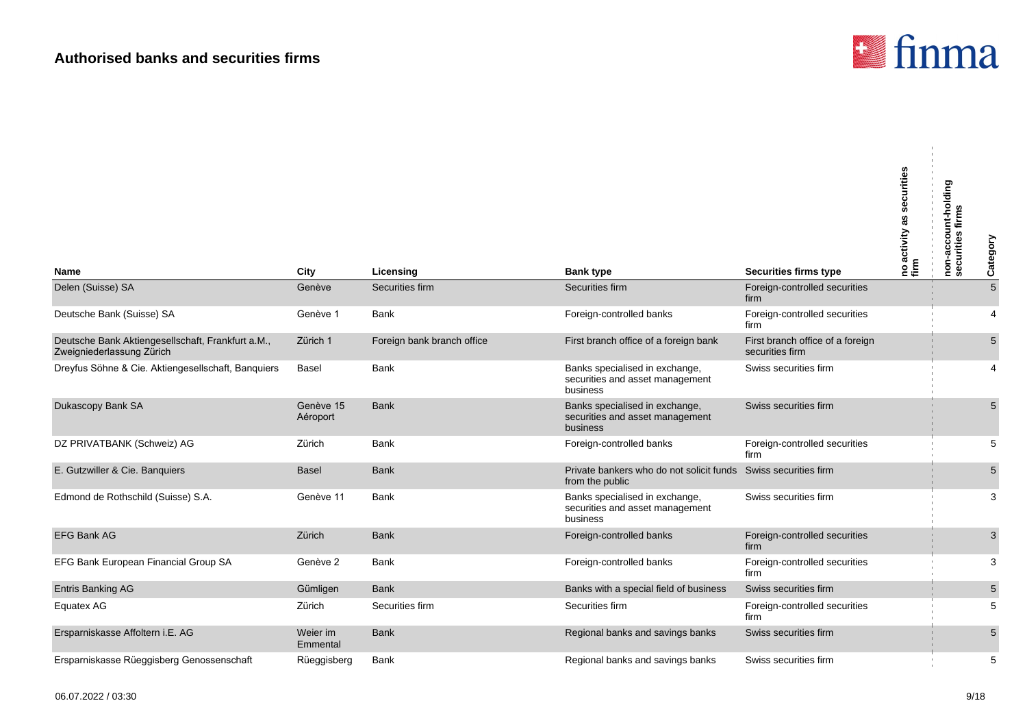

| Name                                                                           | City                  | Licensing                  | <b>Bank type</b>                                                              | <b>Securities firms type</b>                        | no activity as securities<br>firm | non-account-holding<br>securities firms | Category      |
|--------------------------------------------------------------------------------|-----------------------|----------------------------|-------------------------------------------------------------------------------|-----------------------------------------------------|-----------------------------------|-----------------------------------------|---------------|
| Delen (Suisse) SA                                                              | Genève                | Securities firm            | Securities firm                                                               | Foreign-controlled securities<br>firm               |                                   |                                         | $\frac{1}{5}$ |
| Deutsche Bank (Suisse) SA                                                      | Genève 1              | <b>Bank</b>                | Foreign-controlled banks                                                      | Foreign-controlled securities<br>firm               |                                   |                                         | 4             |
| Deutsche Bank Aktiengesellschaft, Frankfurt a.M.,<br>Zweigniederlassung Zürich | Zürich 1              | Foreign bank branch office | First branch office of a foreign bank                                         | First branch office of a foreign<br>securities firm |                                   |                                         | 5             |
| Dreyfus Söhne & Cie. Aktiengesellschaft, Banquiers                             | <b>Basel</b>          | <b>Bank</b>                | Banks specialised in exchange,<br>securities and asset management<br>business | Swiss securities firm                               |                                   |                                         | 4             |
| Dukascopy Bank SA                                                              | Genève 15<br>Aéroport | <b>Bank</b>                | Banks specialised in exchange,<br>securities and asset management<br>business | Swiss securities firm                               |                                   |                                         | 5             |
| DZ PRIVATBANK (Schweiz) AG                                                     | Zürich                | <b>Bank</b>                | Foreign-controlled banks                                                      | Foreign-controlled securities<br>firm               |                                   |                                         | 5             |
| E. Gutzwiller & Cie. Banquiers                                                 | <b>Basel</b>          | <b>Bank</b>                | Private bankers who do not solicit funds<br>from the public                   | Swiss securities firm                               |                                   |                                         | 5             |
| Edmond de Rothschild (Suisse) S.A.                                             | Genève 11             | <b>Bank</b>                | Banks specialised in exchange,<br>securities and asset management<br>business | Swiss securities firm                               |                                   |                                         | 3             |
| <b>EFG Bank AG</b>                                                             | Zürich                | <b>Bank</b>                | Foreign-controlled banks                                                      | Foreign-controlled securities<br>firm               |                                   |                                         | 3             |
| EFG Bank European Financial Group SA                                           | Genève 2              | <b>Bank</b>                | Foreign-controlled banks                                                      | Foreign-controlled securities<br>firm               |                                   |                                         | 3             |
| <b>Entris Banking AG</b>                                                       | Gümligen              | <b>Bank</b>                | Banks with a special field of business                                        | Swiss securities firm                               |                                   |                                         | $\sqrt{5}$    |
| Equatex AG                                                                     | Zürich                | Securities firm            | Securities firm                                                               | Foreign-controlled securities<br>firm               |                                   |                                         | 5             |
| Ersparniskasse Affoltern i.E. AG                                               | Weier im<br>Emmental  | <b>Bank</b>                | Regional banks and savings banks                                              | Swiss securities firm                               |                                   |                                         | 5             |
| Ersparniskasse Rüeggisberg Genossenschaft                                      | Rüeggisberg           | Bank                       | Regional banks and savings banks                                              | Swiss securities firm                               |                                   |                                         | 5             |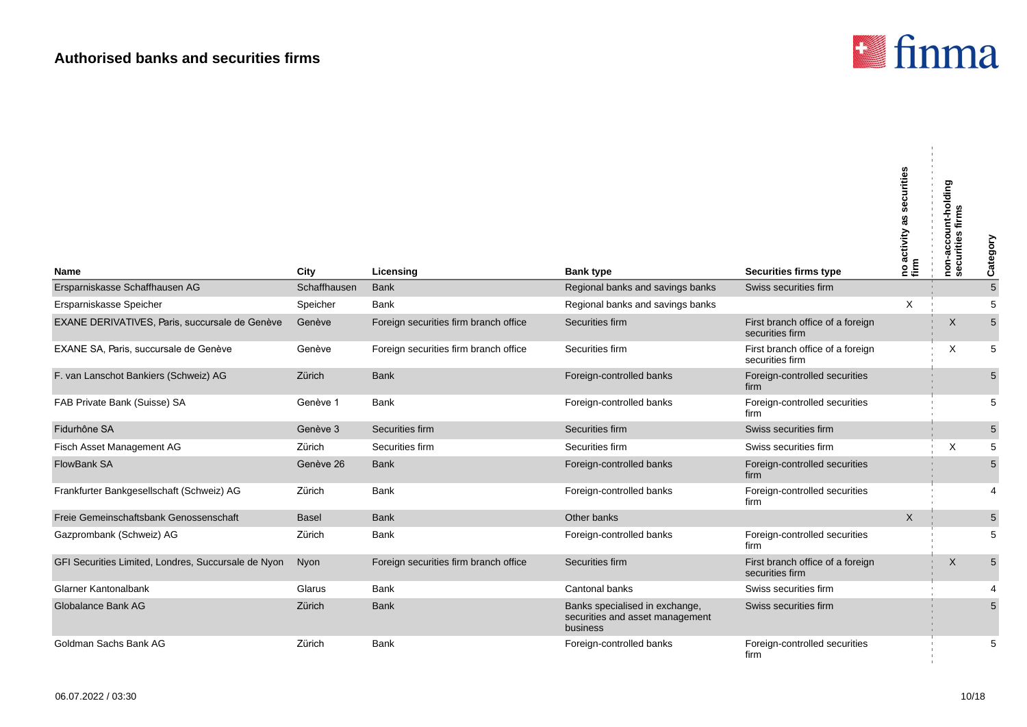

| <b>Name</b>                                         | City         | Licensing                             | <b>Bank type</b>                                                              | <b>Securities firms type</b>                        | securities<br> no activity as s<br> firm | non-account-holding<br>securities firms | Category       |
|-----------------------------------------------------|--------------|---------------------------------------|-------------------------------------------------------------------------------|-----------------------------------------------------|------------------------------------------|-----------------------------------------|----------------|
| Ersparniskasse Schaffhausen AG                      | Schaffhausen | <b>Bank</b>                           | Regional banks and savings banks                                              | Swiss securities firm                               |                                          |                                         | $\overline{5}$ |
| Ersparniskasse Speicher                             | Speicher     | <b>Bank</b>                           | Regional banks and savings banks                                              |                                                     | X                                        |                                         | 5              |
| EXANE DERIVATIVES, Paris, succursale de Genève      | Genève       | Foreign securities firm branch office | Securities firm                                                               | First branch office of a foreign<br>securities firm |                                          | X                                       | 5              |
| EXANE SA, Paris, succursale de Genève               | Genève       | Foreign securities firm branch office | Securities firm                                                               | First branch office of a foreign<br>securities firm |                                          | X                                       | 5              |
| F. van Lanschot Bankiers (Schweiz) AG               | Zürich       | <b>Bank</b>                           | Foreign-controlled banks                                                      | Foreign-controlled securities<br>firm               |                                          |                                         | $\sqrt{5}$     |
| FAB Private Bank (Suisse) SA                        | Genève 1     | <b>Bank</b>                           | Foreign-controlled banks                                                      | Foreign-controlled securities<br>firm               |                                          |                                         | 5              |
| Fidurhône SA                                        | Genève 3     | Securities firm                       | Securities firm                                                               | Swiss securities firm                               |                                          |                                         | $\overline{5}$ |
| Fisch Asset Management AG                           | Zürich       | Securities firm                       | Securities firm                                                               | Swiss securities firm                               |                                          | X                                       | 5              |
| FlowBank SA                                         | Genève 26    | <b>Bank</b>                           | Foreign-controlled banks                                                      | Foreign-controlled securities<br>firm               |                                          |                                         | $\overline{5}$ |
| Frankfurter Bankgesellschaft (Schweiz) AG           | Zürich       | <b>Bank</b>                           | Foreign-controlled banks                                                      | Foreign-controlled securities<br>firm               |                                          |                                         | 4              |
| Freie Gemeinschaftsbank Genossenschaft              | Basel        | <b>Bank</b>                           | Other banks                                                                   |                                                     | $\sf X$                                  |                                         | $\mathbf 5$    |
| Gazprombank (Schweiz) AG                            | Zürich       | Bank                                  | Foreign-controlled banks                                                      | Foreign-controlled securities<br>firm               |                                          |                                         | 5              |
| GFI Securities Limited, Londres, Succursale de Nyon | Nyon         | Foreign securities firm branch office | Securities firm                                                               | First branch office of a foreign<br>securities firm |                                          | X                                       | $\sqrt{5}$     |
| Glarner Kantonalbank                                | Glarus       | <b>Bank</b>                           | Cantonal banks                                                                | Swiss securities firm                               |                                          |                                         |                |
| Globalance Bank AG                                  | Zürich       | <b>Bank</b>                           | Banks specialised in exchange,<br>securities and asset management<br>business | Swiss securities firm                               |                                          |                                         | 5              |
| Goldman Sachs Bank AG                               | Zürich       | <b>Bank</b>                           | Foreign-controlled banks                                                      | Foreign-controlled securities<br>firm               |                                          |                                         | 5              |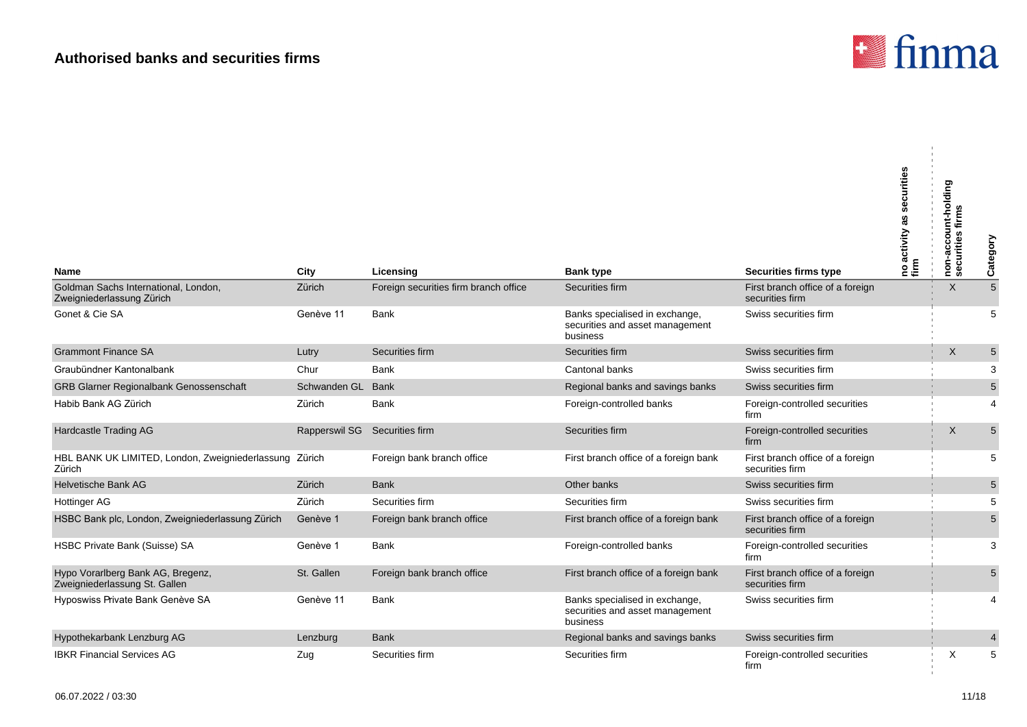

 $\mathbf{r}$ 

| <b>Name</b>                                                        | City                          | Licensing                             | <b>Bank type</b>                                                              | <b>Securities firms type</b>                        | securities<br> no activity as :<br> firm | non-account-holding<br>securities firms | Category       |
|--------------------------------------------------------------------|-------------------------------|---------------------------------------|-------------------------------------------------------------------------------|-----------------------------------------------------|------------------------------------------|-----------------------------------------|----------------|
| Goldman Sachs International, London,<br>Zweigniederlassung Zürich  | Zürich                        | Foreign securities firm branch office | Securities firm                                                               | First branch office of a foreign<br>securities firm |                                          | X                                       | $\overline{5}$ |
| Gonet & Cie SA                                                     | Genève 11                     | Bank                                  | Banks specialised in exchange,<br>securities and asset management<br>business | Swiss securities firm                               |                                          |                                         | 5              |
| <b>Grammont Finance SA</b>                                         | Lutry                         | Securities firm                       | Securities firm                                                               | Swiss securities firm                               |                                          | X                                       | $\sqrt{5}$     |
| Graubündner Kantonalbank                                           | Chur                          | <b>Bank</b>                           | Cantonal banks                                                                | Swiss securities firm                               |                                          |                                         | 3              |
| GRB Glarner Regionalbank Genossenschaft                            | Schwanden GL                  | <b>Bank</b>                           | Regional banks and savings banks                                              | Swiss securities firm                               |                                          |                                         | $\sqrt{5}$     |
| Habib Bank AG Zürich                                               | Zürich                        | Bank                                  | Foreign-controlled banks                                                      | Foreign-controlled securities<br>firm               |                                          |                                         | 4              |
| Hardcastle Trading AG                                              | Rapperswil SG Securities firm |                                       | Securities firm                                                               | Foreign-controlled securities<br>firm               |                                          | X                                       | $\overline{5}$ |
| HBL BANK UK LIMITED, London, Zweigniederlassung Zürich<br>Zürich   |                               | Foreign bank branch office            | First branch office of a foreign bank                                         | First branch office of a foreign<br>securities firm |                                          |                                         | 5              |
| <b>Helvetische Bank AG</b>                                         | Zürich                        | <b>Bank</b>                           | Other banks                                                                   | Swiss securities firm                               |                                          |                                         | $\mathbf 5$    |
| Hottinger AG                                                       | Zürich                        | Securities firm                       | Securities firm                                                               | Swiss securities firm                               |                                          |                                         | 5              |
| HSBC Bank plc, London, Zweigniederlassung Zürich                   | Genève 1                      | Foreign bank branch office            | First branch office of a foreign bank                                         | First branch office of a foreign<br>securities firm |                                          |                                         | 5              |
| HSBC Private Bank (Suisse) SA                                      | Genève 1                      | Bank                                  | Foreign-controlled banks                                                      | Foreign-controlled securities<br>firm               |                                          |                                         | 3              |
| Hypo Vorarlberg Bank AG, Bregenz,<br>Zweigniederlassung St. Gallen | St. Gallen                    | Foreign bank branch office            | First branch office of a foreign bank                                         | First branch office of a foreign<br>securities firm |                                          |                                         | 5              |
| Hyposwiss Private Bank Genève SA                                   | Genève 11                     | Bank                                  | Banks specialised in exchange,<br>securities and asset management<br>business | Swiss securities firm                               |                                          |                                         | $\overline{4}$ |
| Hypothekarbank Lenzburg AG                                         | Lenzburg                      | <b>Bank</b>                           | Regional banks and savings banks                                              | Swiss securities firm                               |                                          |                                         | $\overline{4}$ |
| <b>IBKR Financial Services AG</b>                                  | Zug                           | Securities firm                       | Securities firm                                                               | Foreign-controlled securities<br>firm               |                                          | X                                       | 5              |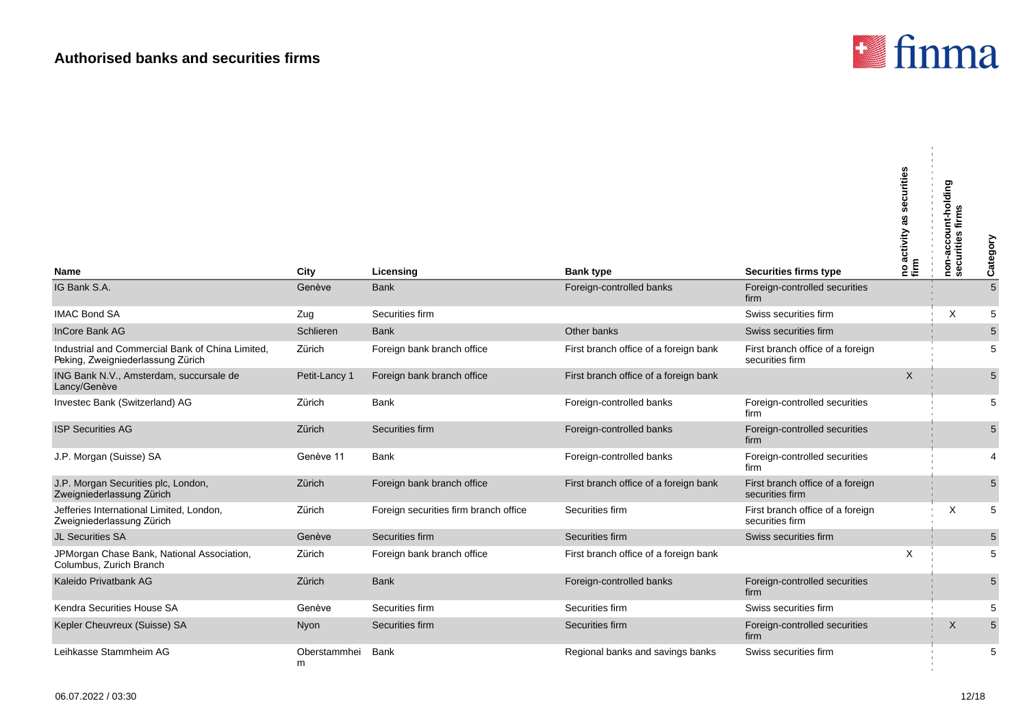

 $\mathbf{u}$ 

| Name                                                                                  | City              | Licensing                             | <b>Bank type</b>                      | <b>Securities firms type</b>                        | securities<br> no activity as s<br>  firm | non-account-holding<br>firms<br>curities<br>မ္ဟ | Category       |
|---------------------------------------------------------------------------------------|-------------------|---------------------------------------|---------------------------------------|-----------------------------------------------------|-------------------------------------------|-------------------------------------------------|----------------|
| IG Bank S.A.                                                                          | Genève            | <b>Bank</b>                           | Foreign-controlled banks              | Foreign-controlled securities<br>firm               |                                           |                                                 | $\overline{5}$ |
| <b>IMAC Bond SA</b>                                                                   | Zug               | Securities firm                       |                                       | Swiss securities firm                               |                                           | X                                               | 5              |
| InCore Bank AG                                                                        | Schlieren         | <b>Bank</b>                           | Other banks                           | Swiss securities firm                               |                                           |                                                 | $\overline{5}$ |
| Industrial and Commercial Bank of China Limited,<br>Peking, Zweigniederlassung Zürich | Zürich            | Foreign bank branch office            | First branch office of a foreign bank | First branch office of a foreign<br>securities firm |                                           |                                                 | 5              |
| ING Bank N.V., Amsterdam, succursale de<br>Lancy/Genève                               | Petit-Lancy 1     | Foreign bank branch office            | First branch office of a foreign bank |                                                     | $\sf X$                                   |                                                 | 5              |
| Investec Bank (Switzerland) AG                                                        | Zürich            | Bank                                  | Foreign-controlled banks              | Foreign-controlled securities<br>firm               |                                           |                                                 | 5              |
| <b>ISP Securities AG</b>                                                              | Zürich            | Securities firm                       | Foreign-controlled banks              | Foreign-controlled securities<br>firm               |                                           |                                                 | 5              |
| J.P. Morgan (Suisse) SA                                                               | Genève 11         | Bank                                  | Foreign-controlled banks              | Foreign-controlled securities<br>firm               |                                           |                                                 | 4              |
| J.P. Morgan Securities plc, London,<br>Zweigniederlassung Zürich                      | Zürich            | Foreign bank branch office            | First branch office of a foreign bank | First branch office of a foreign<br>securities firm |                                           |                                                 | 5              |
| Jefferies International Limited, London,<br>Zweigniederlassung Zürich                 | Zürich            | Foreign securities firm branch office | Securities firm                       | First branch office of a foreign<br>securities firm |                                           | X                                               | 5              |
| <b>JL Securities SA</b>                                                               | Genève            | Securities firm                       | Securities firm                       | Swiss securities firm                               |                                           |                                                 | $\sqrt{5}$     |
| JPMorgan Chase Bank, National Association,<br>Columbus, Zurich Branch                 | Zürich            | Foreign bank branch office            | First branch office of a foreign bank |                                                     | X                                         |                                                 | 5              |
| Kaleido Privatbank AG                                                                 | Zürich            | <b>Bank</b>                           | Foreign-controlled banks              | Foreign-controlled securities<br>firm               |                                           |                                                 | 5              |
| Kendra Securities House SA                                                            | Genève            | Securities firm                       | Securities firm                       | Swiss securities firm                               |                                           |                                                 | 5              |
| Kepler Cheuvreux (Suisse) SA                                                          | Nyon              | Securities firm                       | Securities firm                       | Foreign-controlled securities<br>firm               |                                           | X                                               | $\overline{5}$ |
| Leihkasse Stammheim AG                                                                | Oberstammhei<br>m | <b>Bank</b>                           | Regional banks and savings banks      | Swiss securities firm                               |                                           |                                                 | 5              |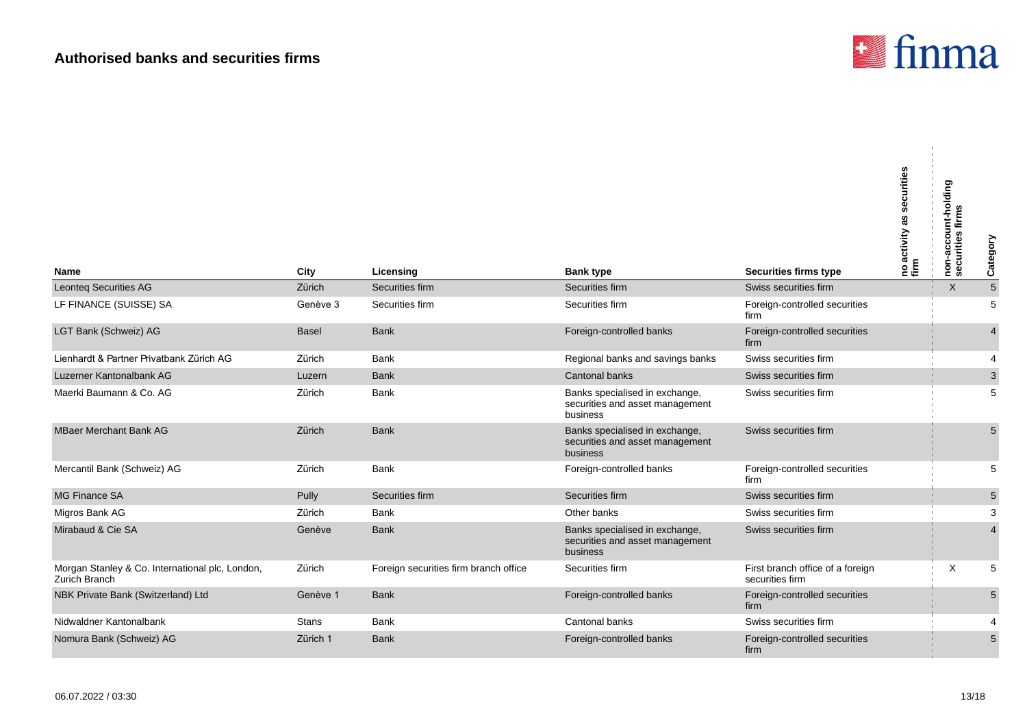

| Name                                                             | City         | Licensing                             | <b>Bank type</b>                                                              | <b>Securities firms type</b>                        | no activity as securities<br>firm | non-account-holding<br>securities firms | Category                  |
|------------------------------------------------------------------|--------------|---------------------------------------|-------------------------------------------------------------------------------|-----------------------------------------------------|-----------------------------------|-----------------------------------------|---------------------------|
| <b>Leonteq Securities AG</b>                                     | Zürich       | Securities firm                       | Securities firm                                                               | Swiss securities firm                               |                                   | $\times$                                | $\sqrt{5}$                |
| LF FINANCE (SUISSE) SA                                           | Genève 3     | Securities firm                       | Securities firm                                                               | Foreign-controlled securities<br>firm               |                                   |                                         | 5                         |
| LGT Bank (Schweiz) AG                                            | <b>Basel</b> | <b>Bank</b>                           | Foreign-controlled banks                                                      | Foreign-controlled securities<br>firm               |                                   |                                         | $\overline{4}$            |
| Lienhardt & Partner Privatbank Zürich AG                         | Zürich       | <b>Bank</b>                           | Regional banks and savings banks                                              | Swiss securities firm                               |                                   |                                         | $\overline{4}$            |
| Luzerner Kantonalbank AG                                         | Luzern       | <b>Bank</b>                           | Cantonal banks                                                                | Swiss securities firm                               |                                   |                                         | $\ensuremath{\mathsf{3}}$ |
| Maerki Baumann & Co. AG                                          | Zürich       | <b>Bank</b>                           | Banks specialised in exchange,<br>securities and asset management<br>business | Swiss securities firm                               |                                   |                                         | 5                         |
| <b>MBaer Merchant Bank AG</b>                                    | Zürich       | <b>Bank</b>                           | Banks specialised in exchange,<br>securities and asset management<br>business | Swiss securities firm                               |                                   |                                         | $5\phantom{.}$            |
| Mercantil Bank (Schweiz) AG                                      | Zürich       | <b>Bank</b>                           | Foreign-controlled banks                                                      | Foreign-controlled securities<br>firm               |                                   |                                         | 5                         |
| <b>MG Finance SA</b>                                             | Pully        | Securities firm                       | Securities firm                                                               | Swiss securities firm                               |                                   |                                         | $\sqrt{5}$                |
| Migros Bank AG                                                   | Zürich       | <b>Bank</b>                           | Other banks                                                                   | Swiss securities firm                               |                                   |                                         | 3                         |
| Mirabaud & Cie SA                                                | Genève       | <b>Bank</b>                           | Banks specialised in exchange,<br>securities and asset management<br>business | Swiss securities firm                               |                                   |                                         | $\overline{4}$            |
| Morgan Stanley & Co. International plc, London,<br>Zurich Branch | Zürich       | Foreign securities firm branch office | Securities firm                                                               | First branch office of a foreign<br>securities firm |                                   | X                                       | 5                         |
| NBK Private Bank (Switzerland) Ltd                               | Genève 1     | <b>Bank</b>                           | Foreign-controlled banks                                                      | Foreign-controlled securities<br>firm               |                                   |                                         | 5                         |
| Nidwaldner Kantonalbank                                          | <b>Stans</b> | <b>Bank</b>                           | Cantonal banks                                                                | Swiss securities firm                               |                                   |                                         |                           |
| Nomura Bank (Schweiz) AG                                         | Zürich 1     | <b>Bank</b>                           | Foreign-controlled banks                                                      | Foreign-controlled securities<br>firm               |                                   |                                         | $5\phantom{.}$            |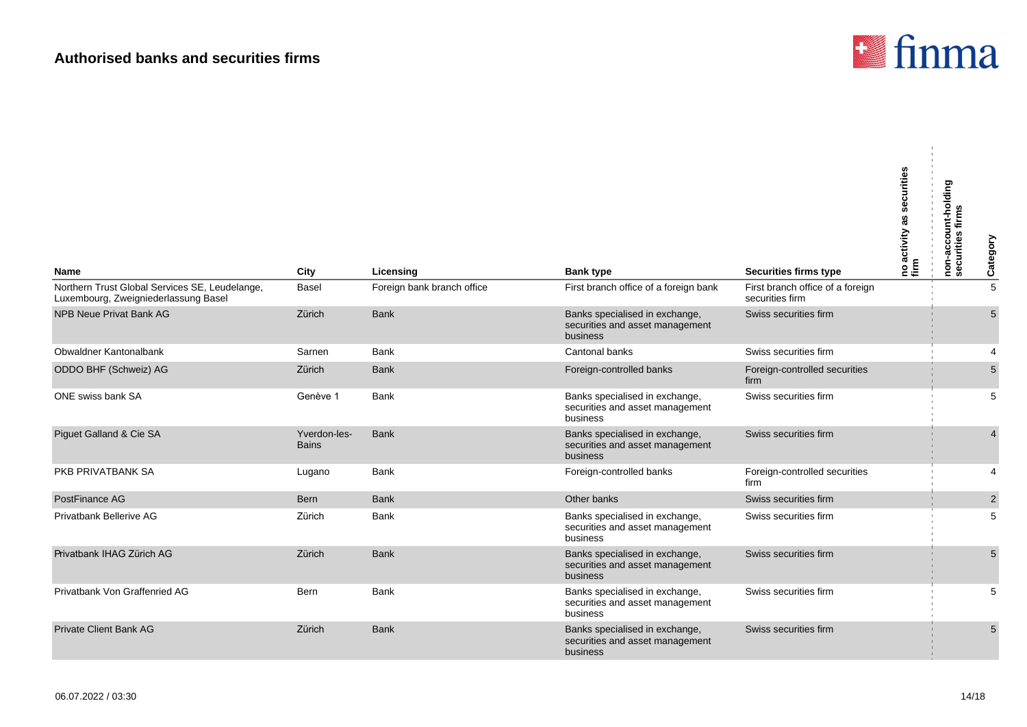

 $\alpha$ 

| Name                                                                                   | City                         | Licensing                  | <b>Bank type</b>                                                                     | <b>Securities firms type</b>                        | urities<br>no activity a<br>firm | non-account-holding<br>securities firms | Category       |
|----------------------------------------------------------------------------------------|------------------------------|----------------------------|--------------------------------------------------------------------------------------|-----------------------------------------------------|----------------------------------|-----------------------------------------|----------------|
| Northern Trust Global Services SE, Leudelange,<br>Luxembourg, Zweigniederlassung Basel | <b>Basel</b>                 | Foreign bank branch office | First branch office of a foreign bank                                                | First branch office of a foreign<br>securities firm |                                  |                                         | 5              |
| NPB Neue Privat Bank AG                                                                | Zürich                       | <b>Bank</b>                | Banks specialised in exchange,<br>securities and asset management<br><b>business</b> | Swiss securities firm                               |                                  |                                         | 5              |
| Obwaldner Kantonalbank                                                                 | Sarnen                       | <b>Bank</b>                | Cantonal banks                                                                       | Swiss securities firm                               |                                  |                                         | $\overline{4}$ |
| ODDO BHF (Schweiz) AG                                                                  | Zürich                       | <b>Bank</b>                | Foreign-controlled banks                                                             | Foreign-controlled securities<br>firm               |                                  |                                         | 5              |
| ONE swiss bank SA                                                                      | Genève 1                     | <b>Bank</b>                | Banks specialised in exchange,<br>securities and asset management<br>business        | Swiss securities firm                               |                                  |                                         | 5              |
| Piguet Galland & Cie SA                                                                | Yverdon-les-<br><b>Bains</b> | <b>Bank</b>                | Banks specialised in exchange,<br>securities and asset management<br>business        | Swiss securities firm                               |                                  |                                         | $\overline{4}$ |
| PKB PRIVATBANK SA                                                                      | Lugano                       | Bank                       | Foreign-controlled banks                                                             | Foreign-controlled securities<br>firm               |                                  |                                         | $\overline{4}$ |
| PostFinance AG                                                                         | Bern                         | <b>Bank</b>                | Other banks                                                                          | Swiss securities firm                               |                                  |                                         | $\overline{2}$ |
| Privatbank Bellerive AG                                                                | Zürich                       | <b>Bank</b>                | Banks specialised in exchange,<br>securities and asset management<br>business        | Swiss securities firm                               |                                  |                                         | 5              |
| Privatbank IHAG Zürich AG                                                              | Zürich                       | <b>Bank</b>                | Banks specialised in exchange,<br>securities and asset management<br>business        | Swiss securities firm                               |                                  |                                         | $5\phantom{1}$ |
| Privatbank Von Graffenried AG                                                          | Bern                         | Bank                       | Banks specialised in exchange,<br>securities and asset management<br>business        | Swiss securities firm                               |                                  |                                         | 5              |
| <b>Private Client Bank AG</b>                                                          | Zürich                       | <b>Bank</b>                | Banks specialised in exchange,<br>securities and asset management<br>business        | Swiss securities firm                               |                                  |                                         | $5\phantom{1}$ |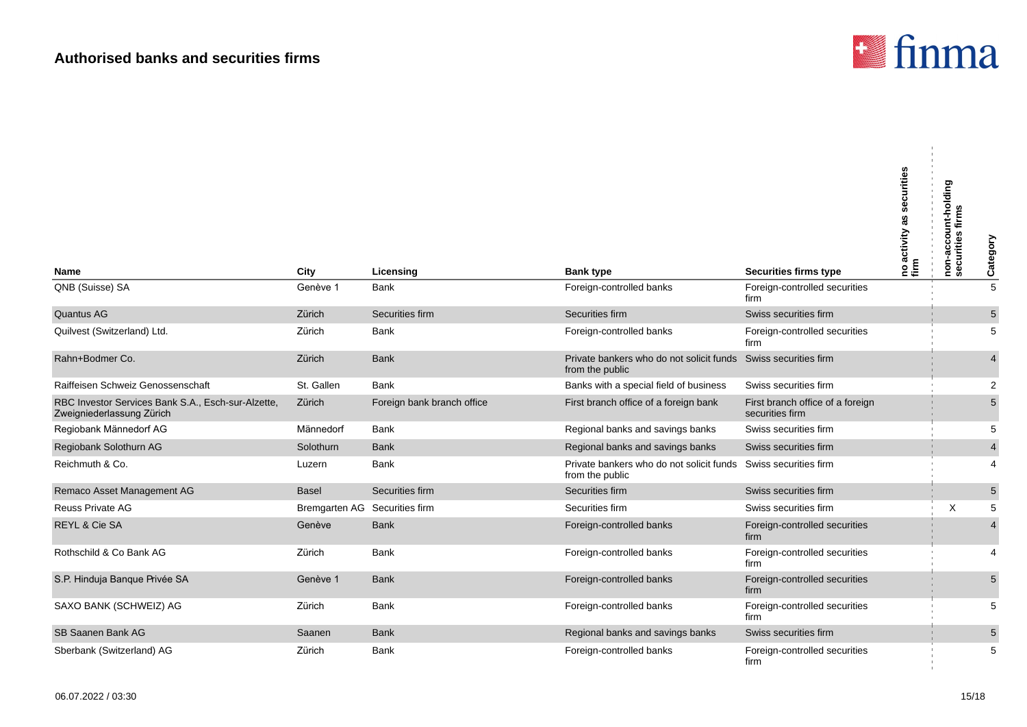

 $\mathbf{r}$ 

| <b>Name</b>                                                                     | City                          | Licensing                  | <b>Bank type</b>                                                                  | Securities firms type                               | no activity as securities<br>firm | non-account-holding<br>securities firms | Category                |
|---------------------------------------------------------------------------------|-------------------------------|----------------------------|-----------------------------------------------------------------------------------|-----------------------------------------------------|-----------------------------------|-----------------------------------------|-------------------------|
| QNB (Suisse) SA                                                                 | Genève 1                      | <b>Bank</b>                | Foreign-controlled banks                                                          | Foreign-controlled securities                       |                                   |                                         | $\overline{5}$          |
|                                                                                 |                               |                            |                                                                                   | firm                                                |                                   |                                         |                         |
| Quantus AG                                                                      | Zürich                        | Securities firm            | Securities firm                                                                   | Swiss securities firm                               |                                   |                                         | $5\phantom{.0}$         |
| Quilvest (Switzerland) Ltd.                                                     | Zürich                        | <b>Bank</b>                | Foreign-controlled banks                                                          | Foreign-controlled securities<br>firm               |                                   |                                         | 5                       |
| Rahn+Bodmer Co.                                                                 | Zürich                        | <b>Bank</b>                | Private bankers who do not solicit funds Swiss securities firm<br>from the public |                                                     |                                   |                                         | 4                       |
| Raiffeisen Schweiz Genossenschaft                                               | St. Gallen                    | <b>Bank</b>                | Banks with a special field of business                                            | Swiss securities firm                               |                                   |                                         | $\overline{2}$          |
| RBC Investor Services Bank S.A., Esch-sur-Alzette,<br>Zweigniederlassung Zürich | Zürich                        | Foreign bank branch office | First branch office of a foreign bank                                             | First branch office of a foreign<br>securities firm |                                   |                                         | 5                       |
| Regiobank Männedorf AG                                                          | Männedorf                     | <b>Bank</b>                | Regional banks and savings banks                                                  | Swiss securities firm                               |                                   |                                         | 5                       |
| Regiobank Solothurn AG                                                          | Solothurn                     | <b>Bank</b>                | Regional banks and savings banks                                                  | Swiss securities firm                               |                                   |                                         | $\overline{\mathbf{4}}$ |
| Reichmuth & Co.                                                                 | Luzern                        | <b>Bank</b>                | Private bankers who do not solicit funds<br>from the public                       | Swiss securities firm                               |                                   |                                         | 4                       |
| Remaco Asset Management AG                                                      | <b>Basel</b>                  | Securities firm            | Securities firm                                                                   | Swiss securities firm                               |                                   |                                         | $5\phantom{.0}$         |
| <b>Reuss Private AG</b>                                                         | Bremgarten AG Securities firm |                            | Securities firm                                                                   | Swiss securities firm                               |                                   | X                                       | 5                       |
| REYL & Cie SA                                                                   | Genève                        | <b>Bank</b>                | Foreign-controlled banks                                                          | Foreign-controlled securities<br>firm               |                                   |                                         | 4                       |
| Rothschild & Co Bank AG                                                         | Zürich                        | <b>Bank</b>                | Foreign-controlled banks                                                          | Foreign-controlled securities<br>firm               |                                   |                                         | 4                       |
| S.P. Hinduja Banque Privée SA                                                   | Genève 1                      | <b>Bank</b>                | Foreign-controlled banks                                                          | Foreign-controlled securities<br>firm               |                                   |                                         | 5                       |
| SAXO BANK (SCHWEIZ) AG                                                          | Zürich                        | <b>Bank</b>                | Foreign-controlled banks                                                          | Foreign-controlled securities<br>firm               |                                   |                                         | 5                       |
| SB Saanen Bank AG                                                               | Saanen                        | <b>Bank</b>                | Regional banks and savings banks                                                  | Swiss securities firm                               |                                   |                                         | $5\phantom{.0}$         |
| Sberbank (Switzerland) AG                                                       | Zürich                        | <b>Bank</b>                | Foreign-controlled banks                                                          | Foreign-controlled securities<br>firm               |                                   |                                         | 5                       |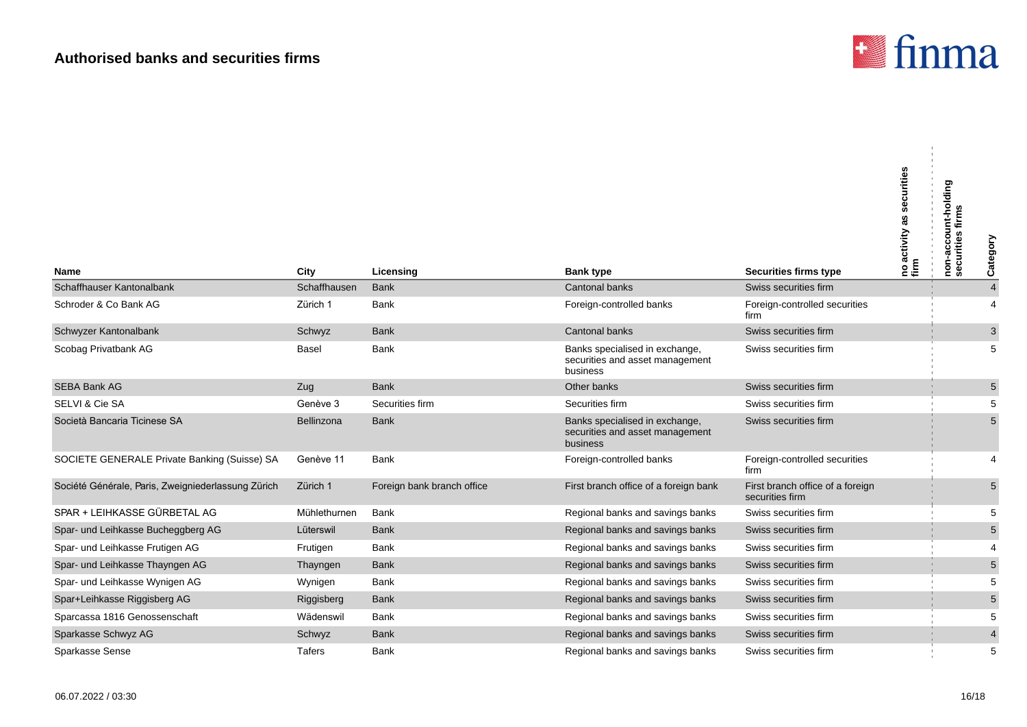

| <b>Name</b>                                        | City         | Licensing                  | <b>Bank type</b>                                                              | Securities firms type                               | securities<br>as<br>p activity<br>m<br>온튼 | non-account-holding<br>securities firms | Category        |
|----------------------------------------------------|--------------|----------------------------|-------------------------------------------------------------------------------|-----------------------------------------------------|-------------------------------------------|-----------------------------------------|-----------------|
| Schaffhauser Kantonalbank                          | Schaffhausen | <b>Bank</b>                | Cantonal banks                                                                | Swiss securities firm                               |                                           |                                         | $\overline{4}$  |
| Schroder & Co Bank AG                              | Zürich 1     | <b>Bank</b>                | Foreign-controlled banks                                                      | Foreign-controlled securities<br>firm               |                                           |                                         | $\overline{4}$  |
| Schwyzer Kantonalbank                              | Schwyz       | <b>Bank</b>                | Cantonal banks                                                                | Swiss securities firm                               |                                           |                                         | $\mathbf 3$     |
| Scobag Privatbank AG                               | Basel        | Bank                       | Banks specialised in exchange,<br>securities and asset management<br>business | Swiss securities firm                               |                                           |                                         | 5               |
| <b>SEBA Bank AG</b>                                | Zug          | <b>Bank</b>                | Other banks                                                                   | Swiss securities firm                               |                                           |                                         | $5\overline{)}$ |
| SELVI & Cie SA                                     | Genève 3     | Securities firm            | Securities firm                                                               | Swiss securities firm                               |                                           |                                         | 5               |
| Società Bancaria Ticinese SA                       | Bellinzona   | <b>Bank</b>                | Banks specialised in exchange,<br>securities and asset management<br>business | Swiss securities firm                               |                                           |                                         | $5\overline{)}$ |
| SOCIETE GENERALE Private Banking (Suisse) SA       | Genève 11    | <b>Bank</b>                | Foreign-controlled banks                                                      | Foreign-controlled securities<br>firm               |                                           |                                         | $\overline{4}$  |
| Société Générale, Paris, Zweigniederlassung Zürich | Zürich 1     | Foreign bank branch office | First branch office of a foreign bank                                         | First branch office of a foreign<br>securities firm |                                           |                                         | $5\phantom{.0}$ |
| SPAR + LEIHKASSE GÜRBETAL AG                       | Mühlethurnen | <b>Bank</b>                | Regional banks and savings banks                                              | Swiss securities firm                               |                                           |                                         | 5               |
| Spar- und Leihkasse Bucheggberg AG                 | Lüterswil    | <b>Bank</b>                | Regional banks and savings banks                                              | Swiss securities firm                               |                                           |                                         | $\overline{5}$  |
| Spar- und Leihkasse Frutigen AG                    | Frutigen     | Bank                       | Regional banks and savings banks                                              | Swiss securities firm                               |                                           |                                         | 4               |
| Spar- und Leihkasse Thayngen AG                    | Thayngen     | <b>Bank</b>                | Regional banks and savings banks                                              | Swiss securities firm                               |                                           |                                         | $\overline{5}$  |
| Spar- und Leihkasse Wynigen AG                     | Wynigen      | Bank                       | Regional banks and savings banks                                              | Swiss securities firm                               |                                           |                                         | 5               |
| Spar+Leihkasse Riggisberg AG                       | Riggisberg   | <b>Bank</b>                | Regional banks and savings banks                                              | Swiss securities firm                               |                                           |                                         | $5\phantom{.0}$ |
| Sparcassa 1816 Genossenschaft                      | Wädenswil    | <b>Bank</b>                | Regional banks and savings banks                                              | Swiss securities firm                               |                                           |                                         | 5               |
| Sparkasse Schwyz AG                                | Schwyz       | <b>Bank</b>                | Regional banks and savings banks                                              | Swiss securities firm                               |                                           |                                         | $\overline{4}$  |
| Sparkasse Sense                                    | Tafers       | Bank                       | Regional banks and savings banks                                              | Swiss securities firm                               |                                           |                                         | 5               |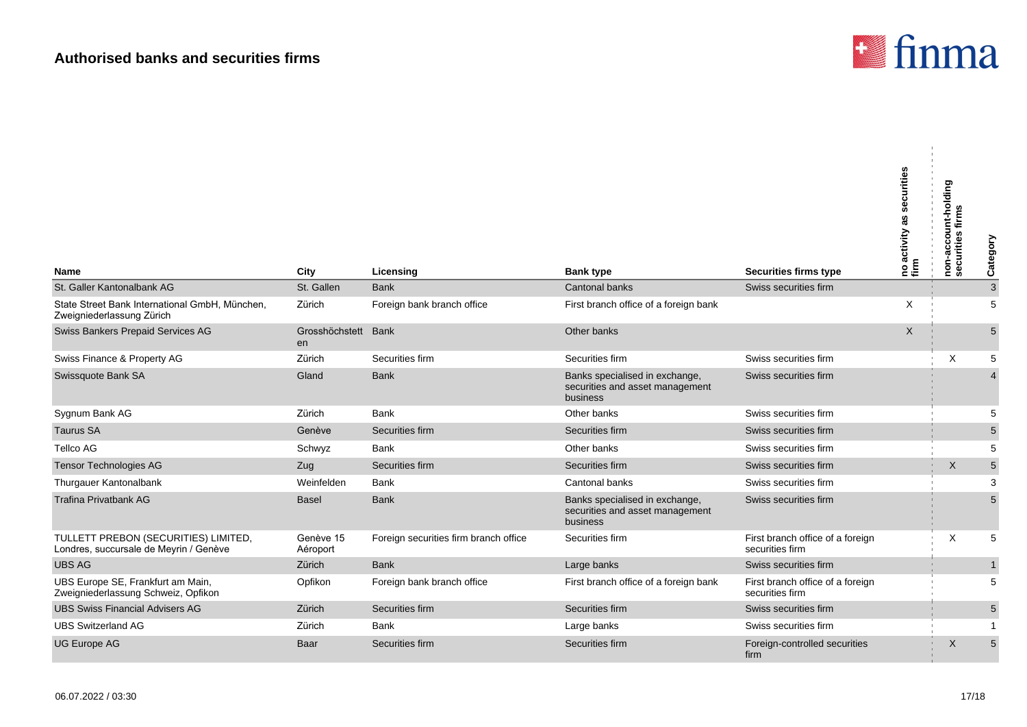

| <b>Name</b>                                                                    | City                  | Licensing                             | <b>Bank type</b>                                                              | Securities firms type                               | securities<br> no activity as s<br>  firm | non-account-holding<br>securities firms | Category       |
|--------------------------------------------------------------------------------|-----------------------|---------------------------------------|-------------------------------------------------------------------------------|-----------------------------------------------------|-------------------------------------------|-----------------------------------------|----------------|
| St. Galler Kantonalbank AG                                                     | St. Gallen            | <b>Bank</b>                           | <b>Cantonal banks</b>                                                         | Swiss securities firm                               |                                           |                                         | $\sqrt{3}$     |
| State Street Bank International GmbH, München,<br>Zweigniederlassung Zürich    | Zürich                | Foreign bank branch office            | First branch office of a foreign bank                                         |                                                     | X                                         |                                         | 5              |
| Swiss Bankers Prepaid Services AG                                              | Grosshöchstett<br>en  | Bank                                  | Other banks                                                                   |                                                     | $\mathsf{X}$                              |                                         | 5              |
| Swiss Finance & Property AG                                                    | Zürich                | Securities firm                       | Securities firm                                                               | Swiss securities firm                               |                                           | X                                       | 5              |
| Swissquote Bank SA                                                             | Gland                 | <b>Bank</b>                           | Banks specialised in exchange,<br>securities and asset management<br>business | Swiss securities firm                               |                                           |                                         | 4              |
| Sygnum Bank AG                                                                 | Zürich                | Bank                                  | Other banks                                                                   | Swiss securities firm                               |                                           |                                         | 5              |
| <b>Taurus SA</b>                                                               | Genève                | Securities firm                       | Securities firm                                                               | Swiss securities firm                               |                                           |                                         | 5              |
| <b>Tellco AG</b>                                                               | Schwyz                | <b>Bank</b>                           | Other banks                                                                   | Swiss securities firm                               |                                           |                                         | 5              |
| <b>Tensor Technologies AG</b>                                                  | Zug                   | Securities firm                       | Securities firm                                                               | Swiss securities firm                               |                                           | $\times$                                | $\overline{5}$ |
| Thurgauer Kantonalbank                                                         | Weinfelden            | Bank                                  | Cantonal banks                                                                | Swiss securities firm                               |                                           |                                         | 3              |
| <b>Trafina Privatbank AG</b>                                                   | <b>Basel</b>          | <b>Bank</b>                           | Banks specialised in exchange,<br>securities and asset management<br>business | Swiss securities firm                               |                                           |                                         | 5              |
| TULLETT PREBON (SECURITIES) LIMITED,<br>Londres, succursale de Meyrin / Genève | Genève 15<br>Aéroport | Foreign securities firm branch office | Securities firm                                                               | First branch office of a foreign<br>securities firm |                                           | Χ                                       | 5              |
| <b>UBS AG</b>                                                                  | Zürich                | <b>Bank</b>                           | Large banks                                                                   | Swiss securities firm                               |                                           |                                         | $\mathbf{1}$   |
| UBS Europe SE, Frankfurt am Main,<br>Zweigniederlassung Schweiz, Opfikon       | Opfikon               | Foreign bank branch office            | First branch office of a foreign bank                                         | First branch office of a foreign<br>securities firm |                                           |                                         | 5              |
| <b>UBS Swiss Financial Advisers AG</b>                                         | Zürich                | Securities firm                       | Securities firm                                                               | Swiss securities firm                               |                                           |                                         | 5              |
| <b>UBS Switzerland AG</b>                                                      | Zürich                | <b>Bank</b>                           | Large banks                                                                   | Swiss securities firm                               |                                           |                                         | $\mathbf 1$    |
| <b>UG Europe AG</b>                                                            | Baar                  | Securities firm                       | Securities firm                                                               | Foreign-controlled securities<br>firm               |                                           | X                                       | 5              |